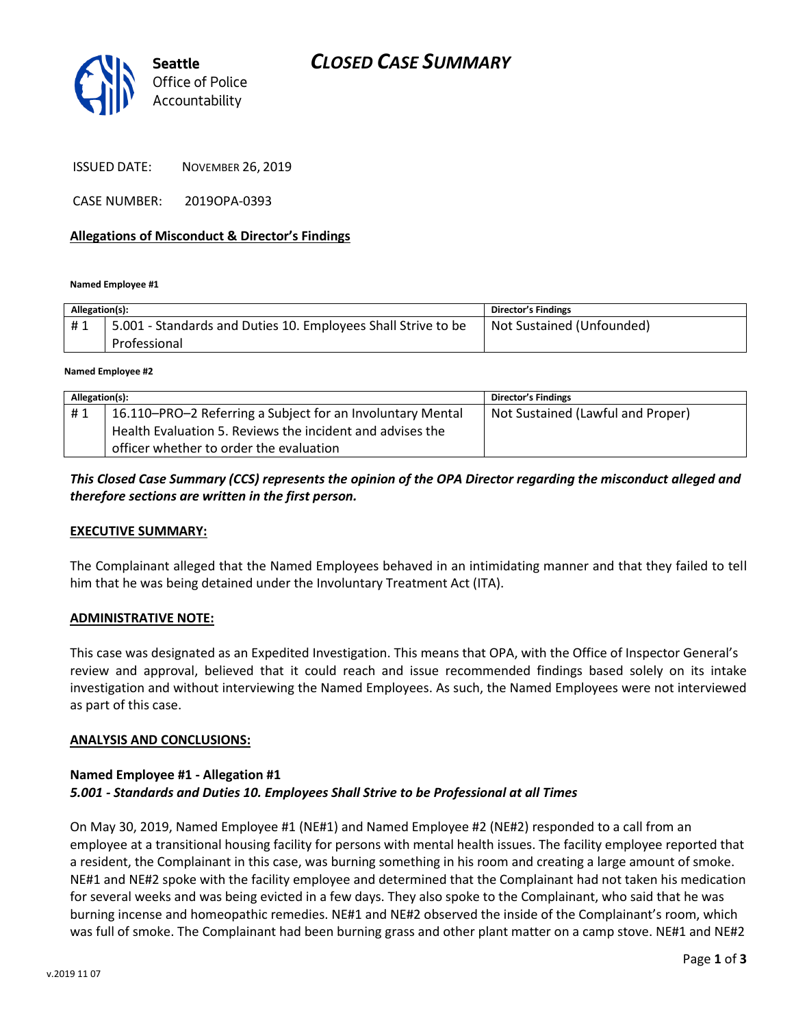



**Seattle**

ISSUED DATE: NOVEMBER 26, 2019

CASE NUMBER: 2019OPA-0393

#### **Allegations of Misconduct & Director's Findings**

**Named Employee #1**

| Allegation(s): |                                                                               | <b>Director's Findings</b> |
|----------------|-------------------------------------------------------------------------------|----------------------------|
| #1             | 5.001 - Standards and Duties 10. Employees Shall Strive to be<br>Professional | Not Sustained (Unfounded)  |
|                |                                                                               |                            |

**Named Employee #2**

| Allegation(s): |                                                            | <b>Director's Findings</b>        |
|----------------|------------------------------------------------------------|-----------------------------------|
| #1             | 16.110-PRO-2 Referring a Subject for an Involuntary Mental | Not Sustained (Lawful and Proper) |
|                | Health Evaluation 5. Reviews the incident and advises the  |                                   |
|                | officer whether to order the evaluation                    |                                   |

### *This Closed Case Summary (CCS) represents the opinion of the OPA Director regarding the misconduct alleged and therefore sections are written in the first person.*

#### **EXECUTIVE SUMMARY:**

The Complainant alleged that the Named Employees behaved in an intimidating manner and that they failed to tell him that he was being detained under the Involuntary Treatment Act (ITA).

#### **ADMINISTRATIVE NOTE:**

This case was designated as an Expedited Investigation. This means that OPA, with the Office of Inspector General's review and approval, believed that it could reach and issue recommended findings based solely on its intake investigation and without interviewing the Named Employees. As such, the Named Employees were not interviewed as part of this case.

#### **ANALYSIS AND CONCLUSIONS:**

### **Named Employee #1 - Allegation #1** *5.001 - Standards and Duties 10. Employees Shall Strive to be Professional at all Times*

On May 30, 2019, Named Employee #1 (NE#1) and Named Employee #2 (NE#2) responded to a call from an employee at a transitional housing facility for persons with mental health issues. The facility employee reported that a resident, the Complainant in this case, was burning something in his room and creating a large amount of smoke. NE#1 and NE#2 spoke with the facility employee and determined that the Complainant had not taken his medication for several weeks and was being evicted in a few days. They also spoke to the Complainant, who said that he was burning incense and homeopathic remedies. NE#1 and NE#2 observed the inside of the Complainant's room, which was full of smoke. The Complainant had been burning grass and other plant matter on a camp stove. NE#1 and NE#2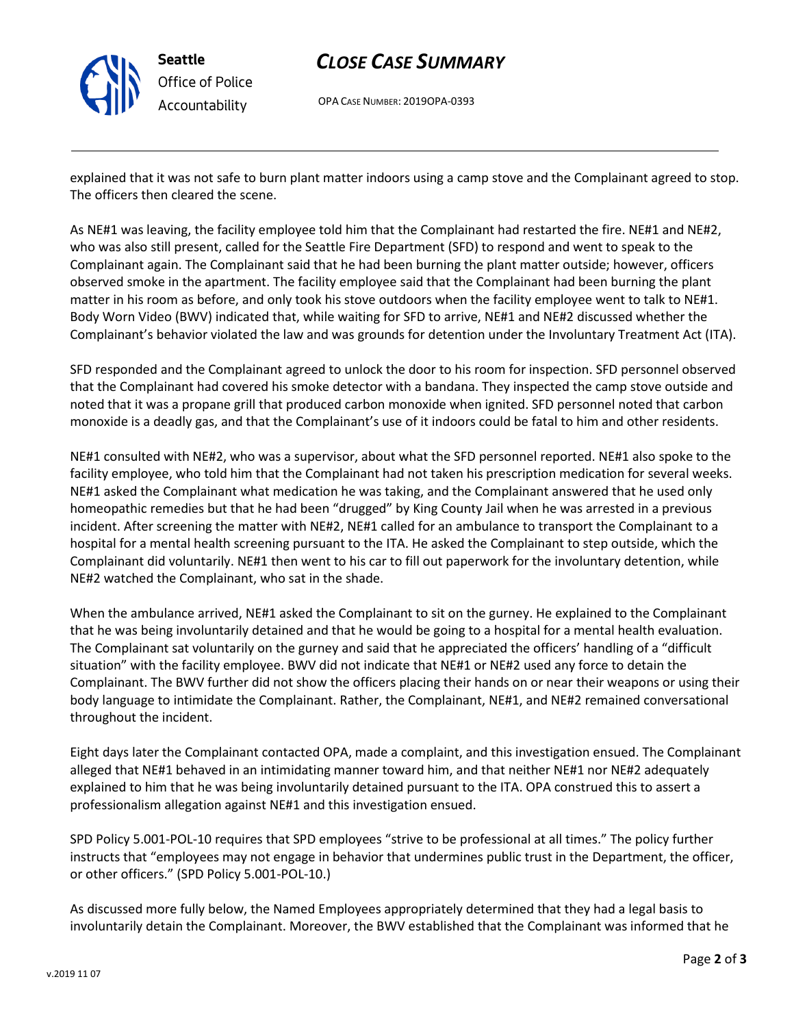

# *CLOSE CASE SUMMARY*

OPA CASE NUMBER: 2019OPA-0393

explained that it was not safe to burn plant matter indoors using a camp stove and the Complainant agreed to stop. The officers then cleared the scene.

As NE#1 was leaving, the facility employee told him that the Complainant had restarted the fire. NE#1 and NE#2, who was also still present, called for the Seattle Fire Department (SFD) to respond and went to speak to the Complainant again. The Complainant said that he had been burning the plant matter outside; however, officers observed smoke in the apartment. The facility employee said that the Complainant had been burning the plant matter in his room as before, and only took his stove outdoors when the facility employee went to talk to NE#1. Body Worn Video (BWV) indicated that, while waiting for SFD to arrive, NE#1 and NE#2 discussed whether the Complainant's behavior violated the law and was grounds for detention under the Involuntary Treatment Act (ITA).

SFD responded and the Complainant agreed to unlock the door to his room for inspection. SFD personnel observed that the Complainant had covered his smoke detector with a bandana. They inspected the camp stove outside and noted that it was a propane grill that produced carbon monoxide when ignited. SFD personnel noted that carbon monoxide is a deadly gas, and that the Complainant's use of it indoors could be fatal to him and other residents.

NE#1 consulted with NE#2, who was a supervisor, about what the SFD personnel reported. NE#1 also spoke to the facility employee, who told him that the Complainant had not taken his prescription medication for several weeks. NE#1 asked the Complainant what medication he was taking, and the Complainant answered that he used only homeopathic remedies but that he had been "drugged" by King County Jail when he was arrested in a previous incident. After screening the matter with NE#2, NE#1 called for an ambulance to transport the Complainant to a hospital for a mental health screening pursuant to the ITA. He asked the Complainant to step outside, which the Complainant did voluntarily. NE#1 then went to his car to fill out paperwork for the involuntary detention, while NE#2 watched the Complainant, who sat in the shade.

When the ambulance arrived, NE#1 asked the Complainant to sit on the gurney. He explained to the Complainant that he was being involuntarily detained and that he would be going to a hospital for a mental health evaluation. The Complainant sat voluntarily on the gurney and said that he appreciated the officers' handling of a "difficult situation" with the facility employee. BWV did not indicate that NE#1 or NE#2 used any force to detain the Complainant. The BWV further did not show the officers placing their hands on or near their weapons or using their body language to intimidate the Complainant. Rather, the Complainant, NE#1, and NE#2 remained conversational throughout the incident.

Eight days later the Complainant contacted OPA, made a complaint, and this investigation ensued. The Complainant alleged that NE#1 behaved in an intimidating manner toward him, and that neither NE#1 nor NE#2 adequately explained to him that he was being involuntarily detained pursuant to the ITA. OPA construed this to assert a professionalism allegation against NE#1 and this investigation ensued.

SPD Policy 5.001-POL-10 requires that SPD employees "strive to be professional at all times." The policy further instructs that "employees may not engage in behavior that undermines public trust in the Department, the officer, or other officers." (SPD Policy 5.001-POL-10.)

As discussed more fully below, the Named Employees appropriately determined that they had a legal basis to involuntarily detain the Complainant. Moreover, the BWV established that the Complainant was informed that he